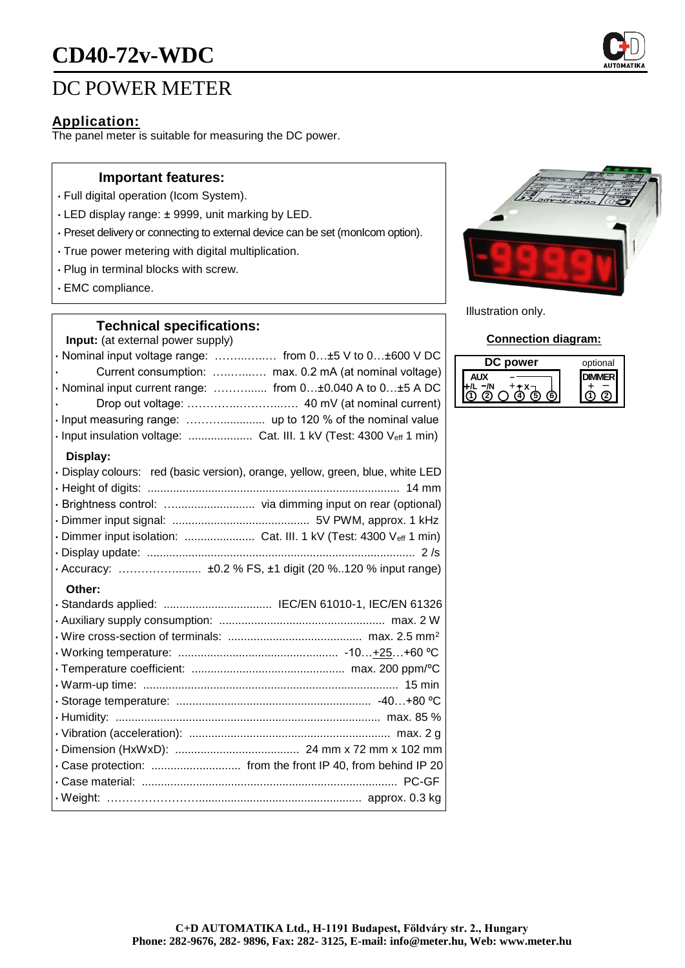# **CD40-72v-WDC**

# DC POWER METER

### **Application:**

The panel meter is suitable for measuring the DC power.

#### **Important features:**

- Full digital operation (Icom System).
- LED display range: ± 9999, unit marking by LED.
- Preset delivery or connecting to external device can be set (monIcom option).
- True power metering with digital multiplication.
- Plug in terminal blocks with screw.
- EMC compliance.

### **Technical specifications:**

**Input:** (at external power supply)

| · Nominal input voltage range:  from 0±5 V to 0±600 V DC                       |
|--------------------------------------------------------------------------------|
| Current consumption:  max. 0.2 mA (at nominal voltage)                         |
| · Nominal input current range:  from 0±0.040 A to 0±5 A DC                     |
|                                                                                |
|                                                                                |
| · Input insulation voltage:  Cat. III. 1 kV (Test: 4300 Veff 1 min)            |
| Display:                                                                       |
| · Display colours: red (basic version), orange, yellow, green, blue, white LED |
|                                                                                |
|                                                                                |
|                                                                                |
| · Dimmer input isolation:  Cat. III. 1 kV (Test: 4300 Veff 1 min)              |
|                                                                                |
|                                                                                |
| Other:                                                                         |
| · Standards applied:  IEC/EN 61010-1, IEC/EN 61326                             |
|                                                                                |



Illustration only.

#### **Connection diagram:**